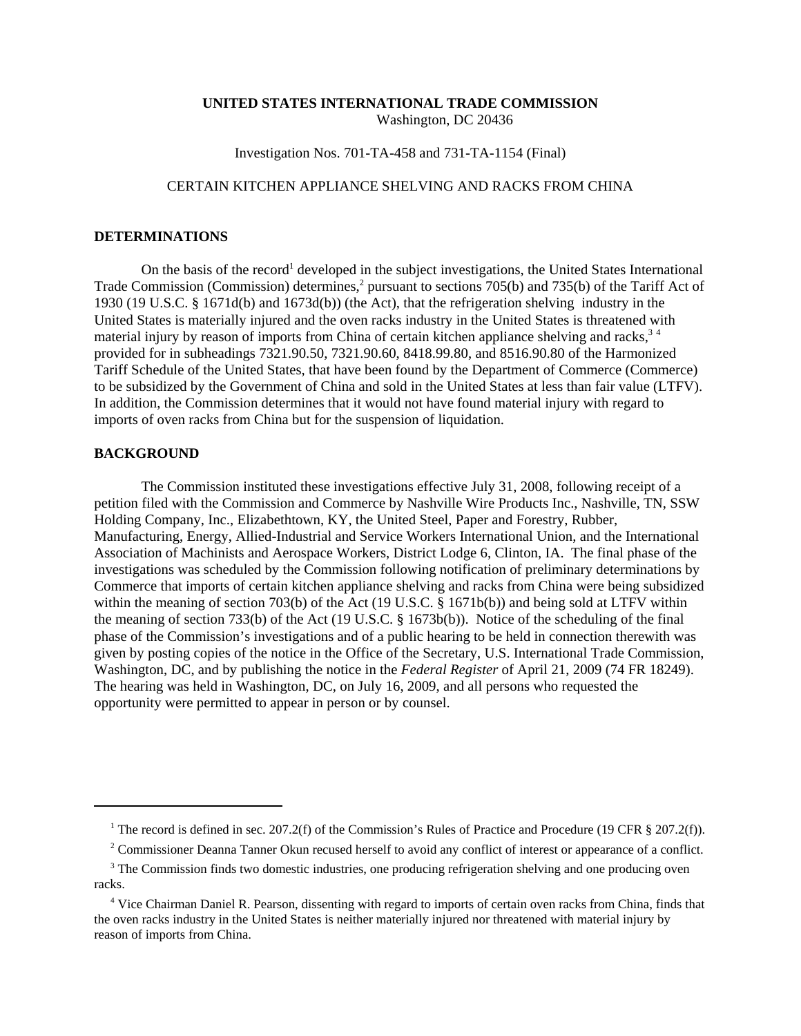## **UNITED STATES INTERNATIONAL TRADE COMMISSION** Washington, DC 20436

Investigation Nos. 701-TA-458 and 731-TA-1154 (Final)

## CERTAIN KITCHEN APPLIANCE SHELVING AND RACKS FROM CHINA

## **DETERMINATIONS**

On the basis of the record<sup>1</sup> developed in the subject investigations, the United States International Trade Commission (Commission) determines,<sup>2</sup> pursuant to sections 705(b) and 735(b) of the Tariff Act of 1930 (19 U.S.C. § 1671d(b) and 1673d(b)) (the Act), that the refrigeration shelving industry in the United States is materially injured and the oven racks industry in the United States is threatened with material injury by reason of imports from China of certain kitchen appliance shelving and racks,<sup>34</sup> provided for in subheadings 7321.90.50, 7321.90.60, 8418.99.80, and 8516.90.80 of the Harmonized Tariff Schedule of the United States, that have been found by the Department of Commerce (Commerce) to be subsidized by the Government of China and sold in the United States at less than fair value (LTFV). In addition, the Commission determines that it would not have found material injury with regard to imports of oven racks from China but for the suspension of liquidation.

## **BACKGROUND**

The Commission instituted these investigations effective July 31, 2008, following receipt of a petition filed with the Commission and Commerce by Nashville Wire Products Inc., Nashville, TN, SSW Holding Company, Inc., Elizabethtown, KY, the United Steel, Paper and Forestry, Rubber, Manufacturing, Energy, Allied-Industrial and Service Workers International Union, and the International Association of Machinists and Aerospace Workers, District Lodge 6, Clinton, IA. The final phase of the investigations was scheduled by the Commission following notification of preliminary determinations by Commerce that imports of certain kitchen appliance shelving and racks from China were being subsidized within the meaning of section 703(b) of the Act (19 U.S.C. § 1671b(b)) and being sold at LTFV within the meaning of section 733(b) of the Act (19 U.S.C. § 1673b(b)). Notice of the scheduling of the final phase of the Commission's investigations and of a public hearing to be held in connection therewith was given by posting copies of the notice in the Office of the Secretary, U.S. International Trade Commission, Washington, DC, and by publishing the notice in the *Federal Register* of April 21, 2009 (74 FR 18249). The hearing was held in Washington, DC, on July 16, 2009, and all persons who requested the opportunity were permitted to appear in person or by counsel.

<sup>&</sup>lt;sup>1</sup> The record is defined in sec. 207.2(f) of the Commission's Rules of Practice and Procedure (19 CFR § 207.2(f)).

<sup>&</sup>lt;sup>2</sup> Commissioner Deanna Tanner Okun recused herself to avoid any conflict of interest or appearance of a conflict.

<sup>&</sup>lt;sup>3</sup> The Commission finds two domestic industries, one producing refrigeration shelving and one producing oven racks.

<sup>&</sup>lt;sup>4</sup> Vice Chairman Daniel R. Pearson, dissenting with regard to imports of certain oven racks from China, finds that the oven racks industry in the United States is neither materially injured nor threatened with material injury by reason of imports from China.